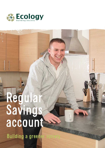

# Regular Savings account Building a greene

 $0<sub>0</sub>$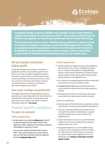

Our Regular Savings account is a limited-access monthly savings account offering a variable rate of interest of 1.30% gross\* p.a./AER\*\*. This account is suitable if you can afford to save regularly and want to earn a preferential rate of interest with Ecology.

The account can be used to save for a specific purpose, perhaps for a special occasion in the future or simply for a rainy day, as well as providing support for our lending on sustainable properties and projects. This is a low-risk account, but it would not be suitable if you need unlimited access to your savings, as there are restrictions on the number of withdrawals and missed payments you can make in a year.

# We put people and planet before profit

Saving with Ecology means joining a community of people who use their money to build a greener future. We use your funds to provide mortgages for projects that make a positive environmental and social impact, as well as providing a fair financial return for our savers. You can find out more about what makes us special and meet some of our members in our brochure: *Why choose Ecology for your savings?* 

## How your savings are protected

Your eligible deposits with Ecology Building Society are protected up to a total of £85,000 by the Financial Services Compensation Scheme (FSCS). Any deposits you hold above the limit are unlikely to be covered. For further information, please visit **fscs.org.uk**.

# Product Specific Conditions

#### To open an account

#### Online Applications

 Simply apply via our website **ecology.co.uk**. You will be taken through three key stages: online service registration; online application, and finally, providing an initial deposit to open your account

 You can make a deposit by bank transfer or Direct Debit. If you wish to operate your account also by post, you will need to provide a specimen signature. Contact **savings@ecology.co.uk**

#### Postal Applications

- **Simply complete our Regular Savings account application** form and return it to us with a completed Direct Debit form or a cheque made payable to 'Ecology Building Society re. [your name]'. Alternatively, to make your initial deposit via bank transfer, please add the relevant details where prompted on the application form
- On receipt of the completed application form we will create your account and issue your account number
- If paying by Direct Debit, the actual open date of your account will be the date the first Direct Debit payment is received
- $\blacksquare$  If paying by bank transfer, the actual open date of your account will be the date the bank transfer is received

#### General conditions

- $\blacksquare$  Please be aware of the identification requirements outlined in the brochure *Savings account identification requirements*
- $\blacksquare$  If you are an existing member of the Society, we may not need further evidence of identification, so please remember to quote your account number on the application form
- $\blacksquare$  To open and maintain an account, you will need to be resident in the UK and not resident for tax purposes anywhere other than the UK
- Young people aged 16 to 17 are also eligible to open an account. You can also open an account on behalf of a child under 16. In both instances, new accounts can only be made via postal applications. For more information visit **ecology.co.uk/savings-accounts/ regular-savings**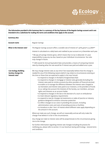

ang pang

¥٩

| <b>Summary Box</b>                                                  |                                                                                                                                                                                                                                                                                                                                                                                                                                                                                                                                                                                                                                                                                                                                                                                                                                                                                                                                                                                                                                                                                                                                                                                                                                                                                                                                                                                                                                                                                                                                                                                                                                                                                                                                                                                                          |
|---------------------------------------------------------------------|----------------------------------------------------------------------------------------------------------------------------------------------------------------------------------------------------------------------------------------------------------------------------------------------------------------------------------------------------------------------------------------------------------------------------------------------------------------------------------------------------------------------------------------------------------------------------------------------------------------------------------------------------------------------------------------------------------------------------------------------------------------------------------------------------------------------------------------------------------------------------------------------------------------------------------------------------------------------------------------------------------------------------------------------------------------------------------------------------------------------------------------------------------------------------------------------------------------------------------------------------------------------------------------------------------------------------------------------------------------------------------------------------------------------------------------------------------------------------------------------------------------------------------------------------------------------------------------------------------------------------------------------------------------------------------------------------------------------------------------------------------------------------------------------------------|
| <b>Account name</b>                                                 | Regular Savings                                                                                                                                                                                                                                                                                                                                                                                                                                                                                                                                                                                                                                                                                                                                                                                                                                                                                                                                                                                                                                                                                                                                                                                                                                                                                                                                                                                                                                                                                                                                                                                                                                                                                                                                                                                          |
| What is the interest rate?                                          | The Regular Savings account offers a variable rate of interest of 1.30% gross* p.a./AER**<br>Interest is calculated on a daily basis and credited to your account on 31 December each year.<br>* We pay all savings interest gross, which means that no tax is deducted. It's your<br>responsibility to pay any tax due, based on your individual circumstances. Tax rules<br>may change in future.<br>** AER stands for Annual Equivalent Rate and provides a means of comparing interest<br>rates by showing what the rate would be if interest was paid and added once a year.                                                                                                                                                                                                                                                                                                                                                                                                                                                                                                                                                                                                                                                                                                                                                                                                                                                                                                                                                                                                                                                                                                                                                                                                                        |
| <b>Can Ecology Building</b><br>Society change the<br>interest rate? | We may change interest rates at any time if we reasonably believe that the change is<br>needed for any of the following reasons (which may relate to circumstances existing at<br>the time or those that are expected to apply in the near future):<br>• to respond to changes in the Bank of England Base Rate<br>• to respond to changes in mortgage or interest rates generally (including the<br>interest rates paid on similar accounts by other providers of financial services)<br>• to enable us to manage the difference between the interest rates charged to<br>our borrowers and interest rates paid to our investors, or the providers of funds<br>to us, taking into account the interests of the Society, our members, and your<br>rights and interests as an account holder<br>• to respond to changes in the law or the decision of a court or ombudsman<br>• to meet relevant regulatory requirements<br>• to respond to new (or changes to) statements or codes of practice or industry<br>guidance designed to enhance consumer protection<br>• to reflect changes to our costs in providing the account, including<br>administration costs and costs of providing services or facilities<br>• to introduce or alter 'tiers' of interest where different rates apply depending on<br>the amount in the account.<br>Where we make any such change, we will act reasonably and we will only make the<br>change if we believe it is fair in the circumstances.<br>Any change we make to interest rates will be proportionate to the circumstances giving<br>rise to the change.<br>For further information regarding interest rate changes including the process for<br>notifying you, please refer to section 7 in our brochure Saving with Ecology - General terms<br>and conditions. |

**Eco** 

 $\overline{\mathbf{C}}$  $\bigcap$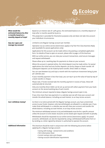

| What would the<br>estimated balance be after<br>12 months based on a<br>monthly deposit of £250? | Based on an interest rate of 1.30% gross, the estimated balance on a monthly deposit of<br>£250 after 12 months would be £3,021.13.<br>This projection is provided for illustrative purposes only and does not take into account<br>your individual circumstances.                                                                                   |
|--------------------------------------------------------------------------------------------------|------------------------------------------------------------------------------------------------------------------------------------------------------------------------------------------------------------------------------------------------------------------------------------------------------------------------------------------------------|
| How do I open and<br>manage my account?                                                          | Limited to one Regular Savings account per member.                                                                                                                                                                                                                                                                                                   |
|                                                                                                  | Operation via our online service (restrictions apply) or by free First Class Business Reply<br>post (available for postal applications only).                                                                                                                                                                                                        |
|                                                                                                  | Applications for this account can be made online or by posting a completed application<br>form. For details of how to open an account, please refer to page 2 of this brochure.                                                                                                                                                                      |
|                                                                                                  | With our online service, you can view your account transactions, send secure messages<br>and request withdrawals.                                                                                                                                                                                                                                    |
|                                                                                                  | Please allow up to 2 working days for payments to show on your account.                                                                                                                                                                                                                                                                              |
|                                                                                                  | Where the account is opened online, the initial deposit must be made online. For postal<br>applications the initial and any further deposits can be by cheque or bank transfer. All<br>subsequent deposits can be made by bank transfer, Direct Debit or cheque.                                                                                     |
|                                                                                                  | You can save between £25 and £250 a month with the maximum investment being £3,000<br>per calendar year.                                                                                                                                                                                                                                             |
|                                                                                                  | If your monthly payment is less than £250, you can top it up to the value of £250 by way of<br>a bank transfer or cheque.                                                                                                                                                                                                                            |
|                                                                                                  | Please note, if funds received take the monthly payment in excess of £250, these will<br>automatically be returned.                                                                                                                                                                                                                                  |
|                                                                                                  | Only one monthly Direct Debit can be set up and we will collect payment from your bank<br>account on the second working day of each month.                                                                                                                                                                                                           |
|                                                                                                  | The minimum amount required to keep a Regular Savings account open is £25.                                                                                                                                                                                                                                                                           |
|                                                                                                  | If you miss more than two payments in a calendar year we will close your account and<br>transfer the whole balance, including accrued interest, to an Easy Access account.                                                                                                                                                                           |
| Can I withdraw money?                                                                            | As there is no notice period with the Regular Savings account, you have unrestricted<br>access to your funds, however, only two withdrawals are allowed in a calendar year. If you<br>make three withdrawals in a calendar year we will close your account and transfer the<br>whole balance, including accrued interest, to an Easy Access account. |
|                                                                                                  | The minimum withdrawal amount is £25 and withdrawals must be for a specific amount<br>unless the account is to be closed. Accounts can be closed upon request and with no penalty.                                                                                                                                                                   |
|                                                                                                  | Withdrawals should be requested via our online service (restrictions apply). For postal<br>accounts, withdrawals can also be requested by using a withdrawal/notification form or<br>by sending us a letter signed by whoever is authorised to operate the account.                                                                                  |
| <b>Additional information</b>                                                                    | This brochure should be read in conjunction with the following documents before<br>applying for a Regular Savings account:                                                                                                                                                                                                                           |
|                                                                                                  | • Saving with Ecology - General terms and conditions<br>• FSCS Information Sheet<br>• Current savings rates and charges                                                                                                                                                                                                                              |
|                                                                                                  | · Savings account identification requirements                                                                                                                                                                                                                                                                                                        |

Ö เจ

謝